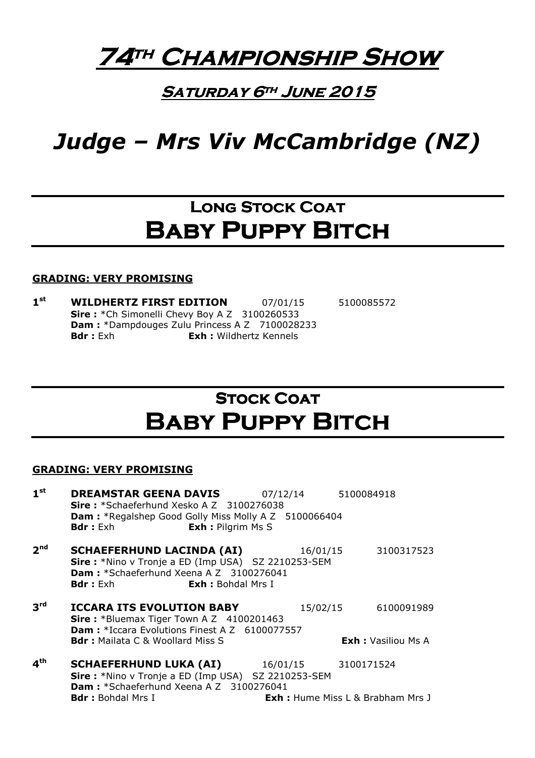# 74th Championship Show

### **SATURDAY 6TH JUNE 2015**

# Judge – Mrs Viv McCambridge (NZ)

# LONG STOCK COAT **BABY PUPPY BITCH**

### GRADING: VERY PROMISING

 $1<sup>st</sup>$ WILDHERTZ FIRST EDITION 07/01/15 5100085572 Sire: \*Ch Simonelli Chevy Boy A Z 3100260533 Dam : \*Dampdouges Zulu Princess A Z 7100028233 **Bdr**: Exh **Exh:** Wildhertz Kennels

# **STOCK COAT** Baby Puppy Bitch

| 1 <sup>st</sup> | <b>DREAMSTAR GEENA DAVIS</b><br>Sire: *Schaeferhund Xesko A Z 3100276038<br>Dam: *Regalshep Good Golly Miss Molly A Z 5100066404<br><b>Exh : Pilgrim Ms S</b><br><b>Bdr:</b> Exh | 07/12/14 | 5100084918                                            |
|-----------------|----------------------------------------------------------------------------------------------------------------------------------------------------------------------------------|----------|-------------------------------------------------------|
| 2 <sup>nd</sup> | <b>SCHAEFERHUND LACINDA (AI)</b><br>Sire: *Nino v Tronje a ED (Imp USA) SZ 2210253-SEM<br>Dam: *Schaeferhund Xeena A Z 3100276041<br><b>Bdr:</b> Exh<br><b>Exh:</b> Bohdal Mrs I | 16/01/15 | 3100317523                                            |
| 3 <sup>rd</sup> | <b>ICCARA ITS EVOLUTION BABY</b><br>Sire: *Bluemax Tiger Town A Z 4100201463<br><b>Dam:</b> *Iccara Evolutions Finest A Z 6100077557<br><b>Bdr:</b> Mailata C & Woollard Miss S  | 15/02/15 | 6100091989<br><b>Exh:</b> Vasiliou Ms A               |
| 4 <sup>th</sup> | <b>SCHAEFERHUND LUKA (AI)</b><br>Sire: *Nino v Tronje a ED (Imp USA) SZ 2210253-SEM<br>Dam: *Schaeferhund Xeena A Z 3100276041<br><b>Bdr:</b> Bohdal Mrs I                       | 16/01/15 | 3100171524<br><b>Exh:</b> Hume Miss L & Brabham Mrs J |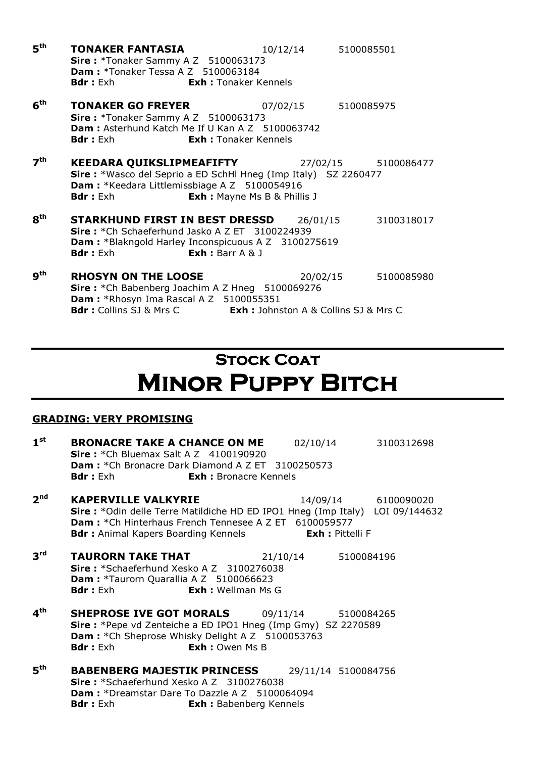$5<sup>th</sup>$ **TONAKER FANTASIA** 10/12/14 5100085501 Sire: \*Tonaker Sammy A Z 5100063173 **Dam: \*Tonaker Tessa A Z 5100063184** Bdr : Exh **Exh : Tonaker Kennels**  $6<sup>th</sup>$ **TONAKER GO FREYER** 07/02/15 5100085975 **Sire: \*Tonaker Sammy A Z 5100063173** Dam : Asterhund Katch Me If U Kan A Z 5100063742 Bdr : Exh **Exh : Tonaker Kennels**  $7<sup>th</sup>$ KEEDARA QUIKSLIPMEAFIFTY 27/02/15 5100086477 Sire : \*Wasco del Seprio a ED SchHl Hneg (Imp Italy) SZ 2260477 Dam : \* Keedara Littlemissbiage A Z 5100054916 **Bdr** : Exh **Exh :** Mayne Ms B & Phillis J 8<sup>th</sup> **STARKHUND FIRST IN BEST DRESSD** 26/01/15 3100318017 Sire: \*Ch Schaeferhund Jasko A Z ET 3100224939 Dam : \*Blakngold Harley Inconspicuous A Z 3100275619 Bdr : Exh **Exh :** Barr A & J  $9<sup>th</sup>$ **RHOSYN ON THE LOOSE** 20/02/15 5100085980 Sire: \*Ch Babenberg Joachim A Z Hneg 5100069276 Dam : \*Rhosyn Ima Rascal A Z 5100055351 Bdr : Collins SJ & Mrs C Exh : Johnston A & Collins SJ & Mrs C

# **STOCK COAT MINOR PUPPY BITCH**

| $1^{\rm st}$    | <b>BRONACRE TAKE A CHANCE ON ME</b><br><b>Sire:</b> $*$ Ch Bluemax Salt A Z 4100190920<br><b>Dam:</b> *Ch Bronacre Dark Diamond A Z ET 3100250573<br><b>Bdr</b> : Exh<br><b>Exh:</b> Bronacre Kennels                                           | 02/10/14 3100312698 |
|-----------------|-------------------------------------------------------------------------------------------------------------------------------------------------------------------------------------------------------------------------------------------------|---------------------|
| 2 <sup>nd</sup> | <b>KAPERVILLE VALKYRIE</b><br>Sire: *Odin delle Terre Matildiche HD ED IPO1 Hneg (Imp Italy) LOI 09/144632<br><b>Dam:</b> *Ch Hinterhaus French Tennesee A Z ET 6100059577<br><b>Bdr:</b> Animal Kapers Boarding Kennels <b>Exh:</b> Pittelli F | 14/09/14 6100090020 |
| 3 <sup>rd</sup> | <b>TAURORN TAKE THAT</b> 21/10/14 5100084196<br>Sire: *Schaeferhund Xesko A Z 3100276038<br>Dam: *Taurorn Quarallia A Z 5100066623<br><b>Bdr:</b> Exh <b>Exh:</b> Wellman Ms G                                                                  |                     |
| 4 <sup>th</sup> | <b>SHEPROSE IVE GOT MORALS</b> 09/11/14 5100084265<br><b>Sire:</b> *Pepe vd Zenteiche a ED IPO1 Hneg (Imp Gmy) SZ 2270589<br>Dam : * Ch Sheprose Whisky Delight A Z 5100053763<br><b>Exh: Owen Ms B</b><br><b>Bdr</b> : Exh                     |                     |
| 5 <sup>th</sup> | <b>BABENBERG MAJESTIK PRINCESS</b><br>Sire: *Schaeferhund Xesko A Z 3100276038<br><b>Dam:</b> *Dreamstar Dare To Dazzle A Z 5100064094<br><b>Bdr</b> : Exh<br><b>Exh:</b> Babenberg Kennels                                                     | 29/11/14 5100084756 |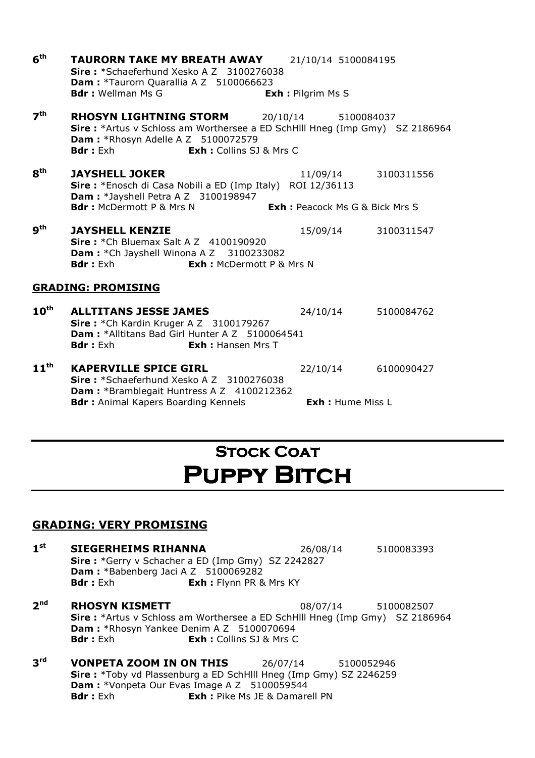| 6 <sup>th</sup>           | <b>TAURORN TAKE MY BREATH AWAY</b><br>Sire: *Schaeferhund Xesko A Z 3100276038<br>Dam: *Taurorn Quarallia A Z 5100066623<br><b>Bdr:</b> Wellman Ms G                                                            | 21/10/14 5100084195<br><b>Exh : Pilgrim Ms S</b> |                     |  |
|---------------------------|-----------------------------------------------------------------------------------------------------------------------------------------------------------------------------------------------------------------|--------------------------------------------------|---------------------|--|
| 7 <sup>th</sup>           | RHOSYN LIGHTNING STORM<br><b>Sire:</b> *Artus v Schloss am Worthersee a ED SchHlll Hneg (Imp Gmy) SZ 2186964<br><b>Dam: *Rhosyn Adelle A Z 5100072579</b><br><b>Bdr</b> : Exh<br><b>Exh:</b> Collins SJ & Mrs C | 20/10/14                                         | 5100084037          |  |
| $\mathbf{g}^{\text{th}}$  | <b>JAYSHELL JOKER</b><br>Sire: *Enosch di Casa Nobili a ED (Imp Italy) ROI 12/36113<br><b>Dam:</b> *Jayshell Petra A Z 3100198947<br><b>Bdr:</b> McDermott P & Mrs N                                            | <b>Exh:</b> Peacock Ms G & Bick Mrs S            | 11/09/14 3100311556 |  |
| 9 <sup>th</sup>           | <b>JAYSHELL KENZIE</b><br><b>Sire:</b> $*$ Ch Bluemax Salt A Z $4100190920$<br>Dam: * Ch Jayshell Winona A Z 3100233082<br><b>Bdr:</b> Exh<br><b>Exh: McDermott P &amp; Mrs N</b>                               |                                                  | 15/09/14 3100311547 |  |
| <b>GRADING: PROMISING</b> |                                                                                                                                                                                                                 |                                                  |                     |  |
| $10^{\text{th}}$          | <b>ALLTITANS JESSE JAMES</b><br>Sire: *Ch Kardin Kruger A Z 3100179267<br>Dam: *Alltitans Bad Girl Hunter A Z 5100064541<br><b>Bdr:</b> Exh<br><b>Exh:</b> Hansen Mrs T                                         |                                                  | 24/10/14 5100084762 |  |
| $11^{\text{th}}$          | <b>KAPERVILLE SPICE GIRL</b><br>Sire: *Schaeferhund Xesko A Z 3100276038<br><b>Dam:</b> *Bramblegait Huntress A Z 4100212362<br><b>Bdr:</b> Animal Kapers Boarding Kennels                                      | 22/10/14<br><b>Exh:</b> Hume Miss L              | 6100090427          |  |

# **STOCK COAT** PUPPY BITCH

- $1<sup>st</sup>$ **SIEGERHEIMS RIHANNA** 26/08/14 5100083393 Sire : \*Gerry v Schacher a ED (Imp Gmy) SZ 2242827 Dam : \*Babenberg Jaci A Z 5100069282 **Bdr** : Exh **Exh :** Flynn PR & Mrs KY
- $2<sup>nd</sup>$ **RHOSYN KISMETT** 08/07/14 5100082507 Sire : \*Artus v Schloss am Worthersee a ED SchHlll Hneg (Imp Gmy) SZ 2186964 Dam : \*Rhosyn Yankee Denim A Z 5100070694 **Bdr**: Exh **Exh:** Collins SJ & Mrs C
- 3rd **VONPETA ZOOM IN ON THIS** 26/07/14 5100052946 Sire: \*Toby vd Plassenburg a ED SchHlll Hneg (Imp Gmy) SZ 2246259 Dam : \*Vonpeta Our Evas Image A Z 5100059544 **Bdr**: Exh : **Exh** : Pike Ms JE & Damarell PN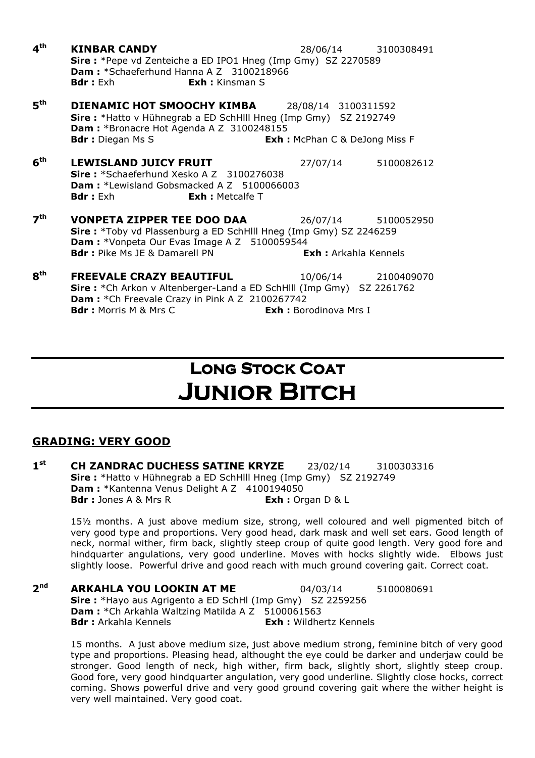$4<sup>th</sup>$ **KINBAR CANDY** 28/06/14 3100308491 Sire : \*Pepe vd Zenteiche a ED IPO1 Hneg (Imp Gmy) SZ 2270589 Dam : \*Schaeferhund Hanna A Z 3100218966 **Bdr**: Exh **Exh:** Kinsman S  $5<sup>th</sup>$ **DIENAMIC HOT SMOOCHY KIMBA** 28/08/14 3100311592 Sire : \*Hatto v Hühnegrab a ED SchHlll Hneg (Imp Gmy) SZ 2192749 Dam : \*Bronacre Hot Agenda A Z 3100248155 Bdr : Diegan Ms S **Exh : McPhan C & DeJong Miss F**  $6<sup>th</sup>$ **LEWISLAND JUICY FRUIT** 27/07/14 5100082612 Sire: \*Schaeferhund Xesko A Z 3100276038 Dam: \*Lewisland Gobsmacked A Z 5100066003 **Bdr**: Exh **Exh:** Metcalfe T  $7<sup>th</sup>$ **VONPETA ZIPPER TEE DOO DAA** 26/07/14 5100052950 Sire : \*Toby vd Plassenburg a ED SchHlll Hneg (Imp Gmy) SZ 2246259 Dam : \*Vonpeta Our Evas Image A Z 5100059544 **Bdr**: Pike Ms JF & Damarell PN **Exh**: Arkahla Kennels **8th FREEVALE CRAZY BEAUTIFUL** 10/06/14 2100409070 Sire : \*Ch Arkon v Altenberger-Land a ED SchHlll (Imp Gmy) SZ 2261762 Dam : \* Ch Freevale Crazy in Pink A Z 2100267742

**Bdr**: Morris M & Mrs C **Exh: Borodinova Mrs I** 

# LONG STOCK COAT **JUNIOR BITCH**

### GRADING: VERY GOOD

 $1<sup>st</sup>$ **CH ZANDRAC DUCHESS SATINE KRYZE** 23/02/14 3100303316 Sire : \*Hatto v Hühnegrab a ED SchHlll Hneg (Imp Gmy) SZ 2192749 Dam : \*Kantenna Venus Delight A Z 4100194050 Bdr : Jones A & Mrs R Exh : Organ D & L

15½ months. A just above medium size, strong, well coloured and well pigmented bitch of very good type and proportions. Very good head, dark mask and well set ears. Good length of neck, normal wither, firm back, slightly steep croup of quite good length. Very good fore and hindquarter angulations, very good underline. Moves with hocks slightly wide. Elbows just slightly loose. Powerful drive and good reach with much ground covering gait. Correct coat.

 $2<sup>nd</sup>$ **ARKAHLA YOU LOOKIN AT ME** 04/03/14 5100080691 Sire : \*Hayo aus Agrigento a ED SchHl (Imp Gmy) SZ 2259256 **Dam:** \*Ch Arkahla Waltzing Matilda A Z 5100061563 **Bdr :** Arkahla Kennels **Exh :** Wildhertz Kennels

15 months. A just above medium size, just above medium strong, feminine bitch of very good type and proportions. Pleasing head, althought the eye could be darker and underjaw could be stronger. Good length of neck, high wither, firm back, slightly short, slightly steep croup. Good fore, very good hindquarter angulation, very good underline. Slightly close hocks, correct coming. Shows powerful drive and very good ground covering gait where the wither height is very well maintained. Very good coat.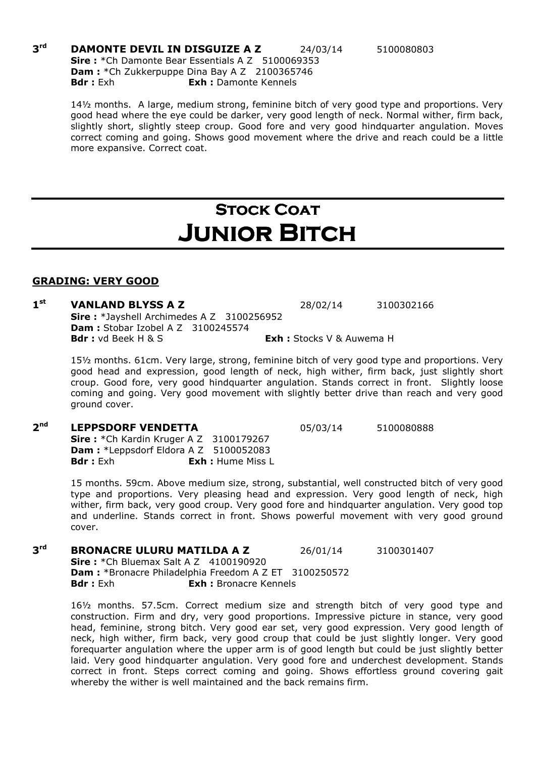#### $3rd$ **DAMONTE DEVIL IN DISGUIZE A Z** 24/03/14 5100080803 Sire : \* Ch Damonte Bear Essentials A Z 5100069353 Dam : \* Ch Zukkerpuppe Dina Bay A Z 2100365746 Bdr : Exh **Exh :** Damonte Kennels

### **STOCK COAT** Junior Bitch

#### GRADING: VERY GOOD

#### $1<sup>st</sup>$ **VANLAND BLYSS A Z** 28/02/14 3100302166 Sire: \*Javshell Archimedes A Z 3100256952 Dam : Stobar Izobel A Z 3100245574 **Bdr :** vd Beek H & S **Exh :** Stocks V & Auwema H

15½ months. 61cm. Very large, strong, feminine bitch of very good type and proportions. Very good head and expression, good length of neck, high wither, firm back, just slightly short croup. Good fore, very good hindquarter angulation. Stands correct in front. Slightly loose coming and going. Very good movement with slightly better drive than reach and very good ground cover.

#### $2<sup>nd</sup>$ **LEPPSDORF VENDETTA** 05/03/14 5100080888

**Sire :** \*Ch Kardin Kruger A Z 3100179267 **Dam :** \*Leppsdorf Eldora A Z 5100052083 Bdr : Exh : Exh : Hume Miss I

> 15 months. 59cm. Above medium size, strong, substantial, well constructed bitch of very good type and proportions. Very pleasing head and expression. Very good length of neck, high wither, firm back, very good croup. Very good fore and hindquarter angulation. Very good top and underline. Stands correct in front. Shows powerful movement with very good ground cover.

3rd **BRONACRE ULURU MATILDA A Z 26/01/14 3100301407 Sire:** \*Ch Bluemax Salt A Z 4100190920 Dam : \*Bronacre Philadelphia Freedom A Z ET 3100250572 **Bdr**: Exh **Exh:** Bronacre Kennels

16½ months. 57.5cm. Correct medium size and strength bitch of very good type and construction. Firm and dry, very good proportions. Impressive picture in stance, very good head, feminine, strong bitch. Very good ear set, very good expression. Very good length of neck, high wither, firm back, very good croup that could be just slightly longer. Very good forequarter angulation where the upper arm is of good length but could be just slightly better laid. Very good hindquarter angulation. Very good fore and underchest development. Stands correct in front. Steps correct coming and going. Shows effortless ground covering gait whereby the wither is well maintained and the back remains firm.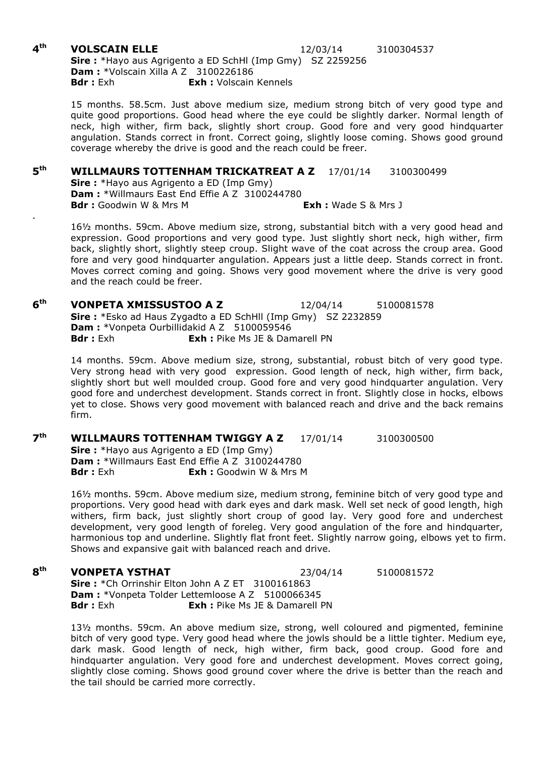#### $4<sup>th</sup>$ **VOLSCAIN ELLE** 12/03/14 3100304537 Sire : \*Hayo aus Agrigento a ED SchHl (Imp Gmy) SZ 2259256 **Dam : \***Volscain Xilla A Z 3100226186 Bdr : Exh **Exh :** Volscain Kennels

15 months. 58.5cm. Just above medium size, medium strong bitch of very good type and quite good proportions. Good head where the eye could be slightly darker. Normal length of neck, high wither, firm back, slightly short croup. Good fore and very good hindquarter angulation. Stands correct in front. Correct going, slightly loose coming. Shows good ground coverage whereby the drive is good and the reach could be freer.

#### $5<sup>th</sup>$ WILLMAURS TOTTENHAM TRICKATREAT A Z 17/01/14 3100300499

Sire: \*Hayo aus Agrigento a ED (Imp Gmy) Dam : \*Willmaurs East End Effie A Z 3100244780 Bdr: Goodwin W & Mrs M Exh: Wade S & Mrs J

16½ months. 59cm. Above medium size, strong, substantial bitch with a very good head and expression. Good proportions and very good type. Just slightly short neck, high wither, firm back, slightly short, slightly steep croup. Slight wave of the coat across the croup area. Good fore and very good hindquarter angulation. Appears just a little deep. Stands correct in front. Moves correct coming and going. Shows very good movement where the drive is very good and the reach could be freer.

 $6<sup>th</sup>$ **VONPETA XMISSUSTOO A Z**  12/04/14 5100081578 Sire: \*Esko ad Haus Zygadto a ED SchHll (Imp Gmy) SZ 2232859 Dam : \*Vonpeta Ourbillidakid A Z 5100059546 **Bdr**: Exh **Exh:** Pike Ms JE & Damarell PN

14 months. 59cm. Above medium size, strong, substantial, robust bitch of very good type. Very strong head with very good expression. Good length of neck, high wither, firm back, slightly short but well moulded croup. Good fore and very good hindquarter angulation. Very good fore and underchest development. Stands correct in front. Slightly close in hocks, elbows yet to close. Shows very good movement with balanced reach and drive and the back remains firm.

 $7<sup>th</sup>$ WILLMAURS TOTTENHAM TWIGGY A Z 17/01/14 3100300500 Sire: \*Hayo aus Agrigento a ED (Imp Gmy) **Dam :** \*Willmaurs East End Effie A Z 3100244780<br>**Bdr :** Exh **Exh :** Goodwin W & Mrs I **Exh :** Goodwin W & Mrs M

16½ months. 59cm. Above medium size, medium strong, feminine bitch of very good type and proportions. Very good head with dark eyes and dark mask. Well set neck of good length, high withers, firm back, just slightly short croup of good lay. Very good fore and underchest development, very good length of foreleg. Very good angulation of the fore and hindquarter, harmonious top and underline. Slightly flat front feet. Slightly narrow going, elbows yet to firm. Shows and expansive gait with balanced reach and drive.

#### 8<sup>th</sup> **VONPETA YSTHAT** 23/04/14 5100081572

Sire: \*Ch Orrinshir Elton John A Z ET 3100161863 Dam : \*Vonpeta Tolder Lettemloose A Z 5100066345 **Bdr**: Exh : **Exh** : Pike Ms JE & Damarell PN

13½ months. 59cm. An above medium size, strong, well coloured and pigmented, feminine bitch of very good type. Very good head where the jowls should be a little tighter. Medium eye, dark mask. Good length of neck, high wither, firm back, good croup. Good fore and hindquarter angulation. Very good fore and underchest development. Moves correct going, slightly close coming. Shows good ground cover where the drive is better than the reach and the tail should be carried more correctly.

.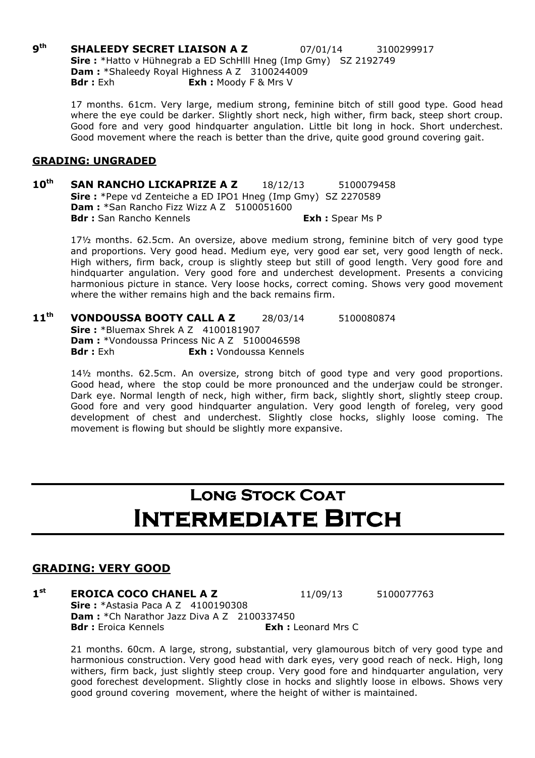**gth SHALEEDY SECRET LIAISON A Z** 07/01/14 3100299917 Sire : \*Hatto v Hühnegrab a ED SchHIII Hneg (Imp Gmy) SZ 2192749 Dam : \*Shaleedy Royal Highness A Z 3100244009 **Bdr** : Exh : **Exh** : Moody F & Mrs V

17 months. 61cm. Very large, medium strong, feminine bitch of still good type. Good head where the eye could be darker. Slightly short neck, high wither, firm back, steep short croup. Good fore and very good hindquarter angulation. Little bit long in hock. Short underchest. Good movement where the reach is better than the drive, quite good ground covering gait.

#### GRADING: UNGRADED

10<sup>th</sup> SAN RANCHO LICKAPRIZE A Z 18/12/13 5100079458 Sire : \*Pepe vd Zenteiche a ED IPO1 Hneg (Imp Gmy) SZ 2270589 Dam : \*San Rancho Fizz Wizz A Z 5100051600 Bdr : San Rancho Kennels **Exh : Spear Ms P** 

17½ months. 62.5cm. An oversize, above medium strong, feminine bitch of very good type and proportions. Very good head. Medium eye, very good ear set, very good length of neck. High withers, firm back, croup is slightly steep but still of good length. Very good fore and hindquarter angulation. Very good fore and underchest development. Presents a convicing harmonious picture in stance. Very loose hocks, correct coming. Shows very good movement where the wither remains high and the back remains firm.

11<sup>th</sup> **VONDOUSSA BOOTY CALL A Z** 28/03/14 5100080874 **Sire: \*Bluemax Shrek A Z 4100181907** Dam: \*Vondoussa Princess Nic A Z 5100046598 Bdr : Exh : Vondoussa Kennels

> 14½ months. 62.5cm. An oversize, strong bitch of good type and very good proportions. Good head, where the stop could be more pronounced and the underjaw could be stronger. Dark eye. Normal length of neck, high wither, firm back, slightly short, slightly steep croup. Good fore and very good hindquarter angulation. Very good length of foreleg, very good development of chest and underchest. Slightly close hocks, slighly loose coming. The movement is flowing but should be slightly more expansive.

# LONG STOCK COAT INTERMEDIATE BITCH

### GRADING: VERY GOOD

 $1<sup>st</sup>$ **EROICA COCO CHANEL A Z** 11/09/13 5100077763 **Sire:** \*Astasia Paca A Z 4100190308 Dam : \*Ch Narathor Jazz Diva A Z 2100337450 **Bdr** : Froica Kennels **Exh** : Leonard Mrs C

21 months. 60cm. A large, strong, substantial, very glamourous bitch of very good type and harmonious construction. Very good head with dark eyes, very good reach of neck. High, long withers, firm back, just slightly steep croup. Very good fore and hindquarter angulation, very good forechest development. Slightly close in hocks and slightly loose in elbows. Shows very good ground covering movement, where the height of wither is maintained.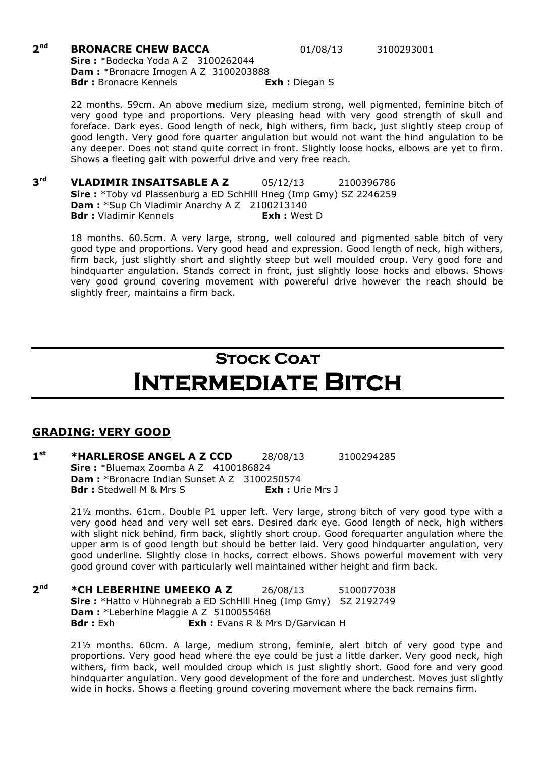#### $2<sub>nd</sub>$ **BRONACRE CHEW BACCA** 01/08/13 3100293001 **Sire:** \*Bodecka Yoda A Z 3100262044 Dam : \*Bronacre Imogen A Z 3100203888 Bdr : Bronacre Kennels **Exh** : Diegan S

22 months. 59cm. An above medium size, medium strong, well pigmented, feminine bitch of very good type and proportions. Very pleasing head with very good strength of skull and foreface. Dark eyes. Good length of neck, high withers, firm back, just slightly steep croup of good length. Very good fore quarter angulation but would not want the hind angulation to be any deeper. Does not stand quite correct in front. Slightly loose hocks, elbows are yet to firm.

 $3<sup>rd</sup>$ VLADIMIR INSAITSABLE A Z 05/12/13 2100396786 Sire : \*Toby vd Plassenburg a ED SchHlll Hneg (Imp Gmy) SZ 2246259 Dam : \*Sup Ch Vladimir Anarchy A Z 2100213140 Bdr : Vladimir Kennels **Exh** : West D

Shows a fleeting gait with powerful drive and very free reach.

18 months. 60.5cm. A very large, strong, well coloured and pigmented sable bitch of very good type and proportions. Very good head and expression. Good length of neck, high withers, firm back, just slightly short and slightly steep but well moulded croup. Very good fore and hindquarter angulation. Stands correct in front, just slightly loose hocks and elbows. Shows very good ground covering movement with powereful drive however the reach should be slightly freer, maintains a firm back.

# **STOCK COAT** Intermediate Bitch

### GRADING: VERY GOOD

 $1<sup>st</sup>$ **\*HARLEROSE ANGEL A Z CCD** 28/08/13 3100294285 Sire: \*Bluemax Zoomba A Z 4100186824 Dam : \*Bronacre Indian Sunset A Z 3100250574 Bdr : Stedwell M & Mrs S Exh : Urie Mrs J

21½ months. 61cm. Double P1 upper left. Very large, strong bitch of very good type with a very good head and very well set ears. Desired dark eye. Good length of neck, high withers with slight nick behind, firm back, slightly short croup. Good forequarter angulation where the upper arm is of good length but should be better laid. Very good hindquarter angulation, very good underline. Slightly close in hocks, correct elbows. Shows powerful movement with very good ground cover with particularly well maintained wither height and firm back.

 $2<sub>nd</sub>$ \*CH LEBERHINE UMEEKO A Z 26/08/13 5100077038 Sire : \*Hatto v Hühnegrab a ED SchHlll Hneg (Imp Gmy) SZ 2192749 Dam : \*Leberhine Maggie A Z 5100055468 **Bdr :** Exh **Exh :** Evans R & Mrs D/Garvican H

> 21½ months. 60cm. A large, medium strong, feminie, alert bitch of very good type and proportions. Very good head where the eye could be just a little darker. Very good neck, high withers, firm back, well moulded croup which is just slightly short. Good fore and very good hindquarter angulation. Very good development of the fore and underchest. Moves just slightly wide in hocks. Shows a fleeting ground covering movement where the back remains firm.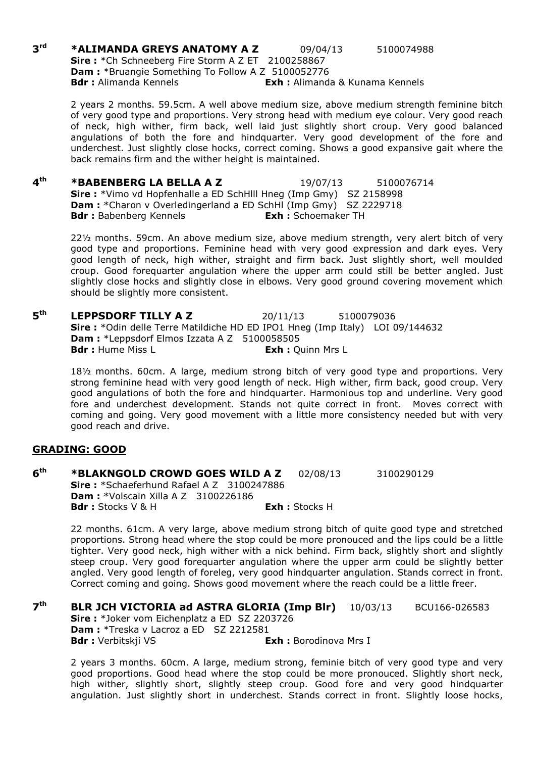$3rd$ \*ALIMANDA GREYS ANATOMY A Z 09/04/13 5100074988 Sire: \*Ch Schneeberg Fire Storm A Z ET 2100258867 Dam : \*Bruangie Something To Follow A Z 5100052776 **Bdr** : Alimanda Kennels **Exh** : Alimanda & Kunama Kennels

2 years 2 months. 59.5cm. A well above medium size, above medium strength feminine bitch of very good type and proportions. Very strong head with medium eye colour. Very good reach of neck, high wither, firm back, well laid just slightly short croup. Very good balanced angulations of both the fore and hindquarter. Very good development of the fore and underchest. Just slightly close hocks, correct coming. Shows a good expansive gait where the back remains firm and the wither height is maintained.

 $\mathbf{A}^{\text{th}}$ **\*BABENBERG LA BELLA A Z** 19/07/13 5100076714 Sire : \*Vimo vd Hopfenhalle a ED SchHlll Hneg (Imp Gmy) SZ 2158998 Dam : \*Charon v Overledingerland a ED SchHl (Imp Gmy) SZ 2229718 Bdr : Babenberg Kennels **Exh : Schoemaker TH** 

22½ months. 59cm. An above medium size, above medium strength, very alert bitch of very good type and proportions. Feminine head with very good expression and dark eyes. Very good length of neck, high wither, straight and firm back. Just slightly short, well moulded croup. Good forequarter angulation where the upper arm could still be better angled. Just slightly close hocks and slightly close in elbows. Very good ground covering movement which should be slightly more consistent.

 $5<sup>th</sup>$ **LEPPSDORF TILLY A Z** 20/11/13 5100079036 Sire : \*Odin delle Terre Matildiche HD ED IPO1 Hneg (Imp Italy) LOI 09/144632 **Dam :** \*Leppsdorf Elmos Izzata A Z 5100058505<br>**Bdr :** Hume Miss L **Exh : Quinn Mrs L** 

18½ months. 60cm. A large, medium strong bitch of very good type and proportions. Very strong feminine head with very good length of neck. High wither, firm back, good croup. Very good angulations of both the fore and hindquarter. Harmonious top and underline. Very good fore and underchest development. Stands not quite correct in front. Moves correct with coming and going. Very good movement with a little more consistency needed but with very good reach and drive.

#### GRADING: GOOD

 $6<sup>th</sup>$ **\*BLAKNGOLD CROWD GOES WILD A Z** 02/08/13 3100290129 Sire: \*Schaeferhund Rafael A Z 3100247886 **Dam: \***Volscain Xilla A Z 3100226186 Bdr : Stocks V & H Exh : Stocks H

22 months. 61cm. A very large, above medium strong bitch of quite good type and stretched proportions. Strong head where the stop could be more pronouced and the lips could be a little tighter. Very good neck, high wither with a nick behind. Firm back, slightly short and slightly steep croup. Very good forequarter angulation where the upper arm could be slightly better angled. Very good length of foreleg, very good hindquarter angulation. Stands correct in front. Correct coming and going. Shows good movement where the reach could be a little freer.

 $7<sup>th</sup>$ **BLR JCH VICTORIA ad ASTRA GLORIA (Imp Blr)** 10/03/13 BCU166-026583 Sire: \*Joker vom Eichenplatz a ED SZ 2203726 Dam : \*Treska v Lacroz a ED SZ 2212581 Bdr : Verbitskji VS<br>
Exh : Borodinova Mrs I

2 years 3 months. 60cm. A large, medium strong, feminie bitch of very good type and very good proportions. Good head where the stop could be more pronouced. Slightly short neck, high wither, slightly short, slightly steep croup. Good fore and very good hindquarter angulation. Just slightly short in underchest. Stands correct in front. Slightly loose hocks,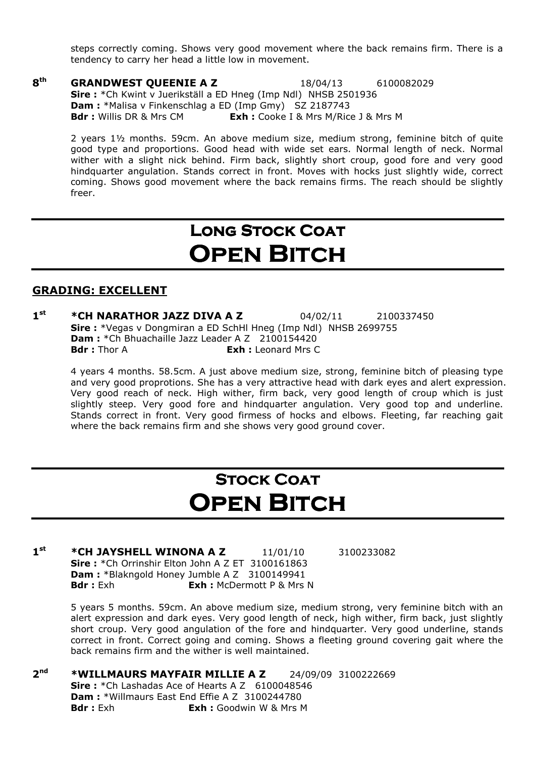steps correctly coming. Shows very good movement where the back remains firm. There is a tendency to carry her head a little low in movement.

8<sup>th</sup> **GRANDWEST QUEENIE A Z** 18/04/13 6100082029 Sire : \*Ch Kwint v Juerikställ a ED Hneg (Imp Ndl) NHSB 2501936 Dam : \*Malisa v Finkenschlag a ED (Imp Gmy) SZ 2187743 Bdr : Willis DR & Mrs CM Exh : Cooke I & Mrs M/Rice J & Mrs M

2 years 1½ months. 59cm. An above medium size, medium strong, feminine bitch of quite good type and proportions. Good head with wide set ears. Normal length of neck. Normal wither with a slight nick behind. Firm back, slightly short croup, good fore and very good hindquarter angulation. Stands correct in front. Moves with hocks just slightly wide, correct coming. Shows good movement where the back remains firms. The reach should be slightly freer.

# LONG STOCK COAT **OPEN BITCH**

#### GRADING: EXCELLENT

 $1<sup>st</sup>$ \*CH NARATHOR JAZZ DIVA A Z  $04/02/11$  2100337450 Sire : \*Vegas v Dongmiran a ED SchHl Hneg (Imp Ndl) NHSB 2699755 **Dam :** \*Ch Bhuachaille Jazz Leader A Z 2100154420<br>**Bdr** : Thor A **Brack Exh :** Leonard Mrs C **Exh : Leonard Mrs C** 

4 years 4 months. 58.5cm. A just above medium size, strong, feminine bitch of pleasing type and very good proprotions. She has a very attractive head with dark eyes and alert expression. Very good reach of neck. High wither, firm back, very good length of croup which is just slightly steep. Very good fore and hindquarter angulation. Very good top and underline. Stands correct in front. Very good firmess of hocks and elbows. Fleeting, far reaching gait where the back remains firm and she shows very good ground cover.

# **STOCK COAT OPEN BITCH**

 $1<sup>st</sup>$ \*CH JAYSHELL WINONA A Z 11/01/10 3100233082 Sire: \*Ch Orrinshir Elton John A Z ET 3100161863 Dam : \*Blakngold Honey Jumble A Z 3100149941 **Bdr**: Exh **Exh:** McDermott P & Mrs N

5 years 5 months. 59cm. An above medium size, medium strong, very feminine bitch with an alert expression and dark eyes. Very good length of neck, high wither, firm back, just slightly short croup. Very good angulation of the fore and hindquarter. Very good underline, stands correct in front. Correct going and coming. Shows a fleeting ground covering gait where the back remains firm and the wither is well maintained.

 $2<sup>nd</sup>$ \*WILLMAURS MAYFAIR MILLIE A Z 24/09/09 3100222669 Sire: \*Ch Lashadas Ace of Hearts A Z 6100048546 Dam : \*Willmaurs East End Effie A Z 3100244780 **Bdr**: Exh **Exh:** Goodwin W & Mrs M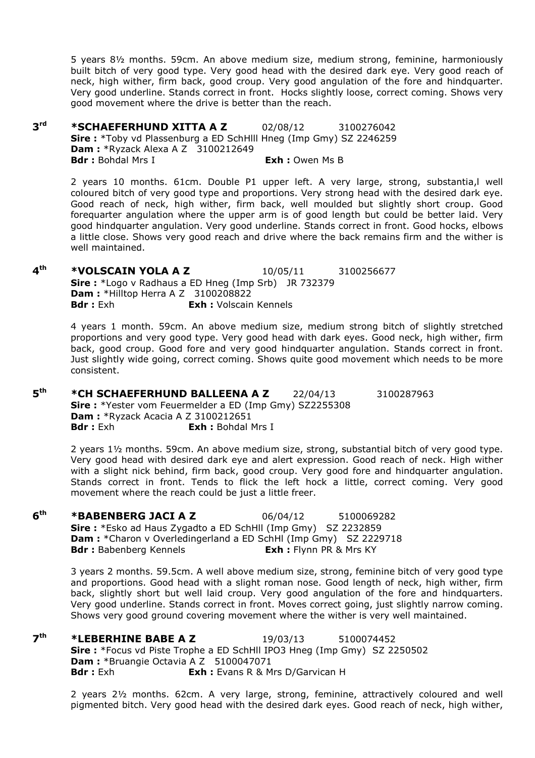5 years 8½ months. 59cm. An above medium size, medium strong, feminine, harmoniously built bitch of very good type. Very good head with the desired dark eye. Very good reach of neck, high wither, firm back, good croup. Very good angulation of the fore and hindquarter. Very good underline. Stands correct in front. Hocks slightly loose, correct coming. Shows very good movement where the drive is better than the reach.

3rd **\*SCHAEFERHUND XITTA A Z** 02/08/12 3100276042 Sire : \*Toby vd Plassenburg a ED SchHlll Hneg (Imp Gmy) SZ 2246259 **Dam: \*Ryzack Alexa A Z 3100212649** Bdr : Bohdal Mrs I **Exh** : Owen Ms B

> 2 years 10 months. 61cm. Double P1 upper left. A very large, strong, substantia,l well coloured bitch of very good type and proportions. Very strong head with the desired dark eye. Good reach of neck, high wither, firm back, well moulded but slightly short croup. Good forequarter angulation where the upper arm is of good length but could be better laid. Very good hindquarter angulation. Very good underline. Stands correct in front. Good hocks, elbows a little close. Shows very good reach and drive where the back remains firm and the wither is well maintained.

 $4<sup>th</sup>$ \*VOLSCAIN YOLA A Z 10/05/11 3100256677 Sire: \*Logo v Radhaus a ED Hneg (Imp Srb) JR 732379 **Dam:** \*Hilltop Herra A Z 3100208822 Bdr : Exh : Volscain Kennels

> 4 years 1 month. 59cm. An above medium size, medium strong bitch of slightly stretched proportions and very good type. Very good head with dark eyes. Good neck, high wither, firm back, good croup. Good fore and very good hindquarter angulation. Stands correct in front. Just slightly wide going, correct coming. Shows quite good movement which needs to be more consistent.

 $5<sup>th</sup>$ **\*CH SCHAEFERHUND BALLEENA A Z** 22/04/13 3100287963 Sire : \*Yester vom Feuermelder a ED (Imp Gmy) SZ2255308 **Dam: \*Ryzack Acacia A Z 3100212651 Bdr**: Exh **Exh:** Bohdal Mrs I

2 years 1½ months. 59cm. An above medium size, strong, substantial bitch of very good type. Very good head with desired dark eye and alert expression. Good reach of neck. High wither with a slight nick behind, firm back, good croup. Very good fore and hindquarter angulation. Stands correct in front. Tends to flick the left hock a little, correct coming. Very good movement where the reach could be just a little freer.

 $6<sup>th</sup>$ **\*BABENBERG JACI A Z** 06/04/12 5100069282 Sire: \*Esko ad Haus Zygadto a ED SchHll (Imp Gmy) SZ 2232859 Dam : \*Charon v Overledingerland a ED SchHl (Imp Gmy) SZ 2229718 Bdr: Babenberg Kennels **Exh:** Flynn PR & Mrs KY

> 3 years 2 months. 59.5cm. A well above medium size, strong, feminine bitch of very good type and proportions. Good head with a slight roman nose. Good length of neck, high wither, firm back, slightly short but well laid croup. Very good angulation of the fore and hindquarters. Very good underline. Stands correct in front. Moves correct going, just slightly narrow coming. Shows very good ground covering movement where the wither is very well maintained.

 $7<sup>th</sup>$ **\*LEBERHINE BABE A Z** 19/03/13 5100074452 Sire : \*Focus vd Piste Trophe a ED SchHll IPO3 Hneg (Imp Gmy) SZ 2250502 Dam : \*Bruangie Octavia A Z 5100047071 **Bdr**: Exh **Exh:** Evans R & Mrs D/Garvican H

2 years 2½ months. 62cm. A very large, strong, feminine, attractively coloured and well pigmented bitch. Very good head with the desired dark eyes. Good reach of neck, high wither,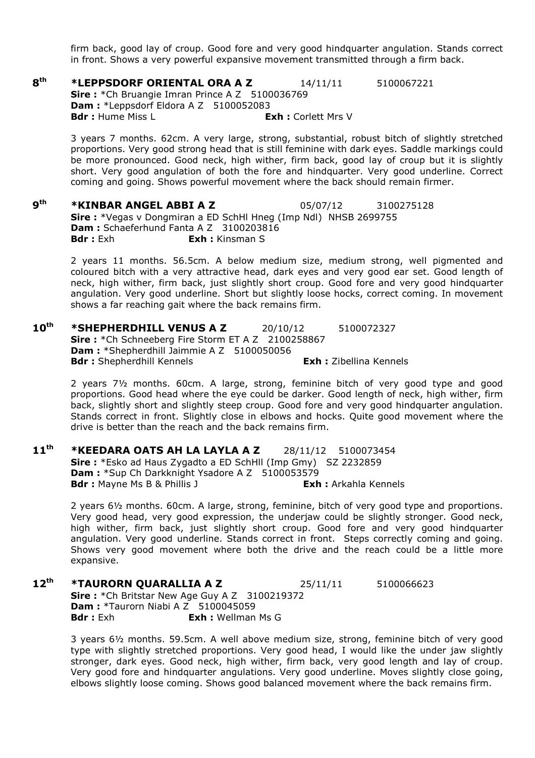firm back, good lay of croup. Good fore and very good hindquarter angulation. Stands correct in front. Shows a very powerful expansive movement transmitted through a firm back.

8<sup>th</sup> **\*LEPPSDORF ORIENTAL ORA A Z**  $14/11/11$   $5100067221$ Sire: \*Ch Bruangie Imran Prince A Z 5100036769 Dam : \*Leppsdorf Eldora A Z 5100052083 Bdr : Hume Miss L **Exh : Corlett Mrs V** 

3 years 7 months. 62cm. A very large, strong, substantial, robust bitch of slightly stretched proportions. Very good strong head that is still feminine with dark eyes. Saddle markings could be more pronounced. Good neck, high wither, firm back, good lay of croup but it is slightly short. Very good angulation of both the fore and hindquarter. Very good underline. Correct coming and going. Shows powerful movement where the back should remain firmer.

 $9<sup>th</sup>$ **\*KINBAR ANGEL ABBI A Z** 05/07/12 3100275128 Sire : \*Vegas v Dongmiran a ED SchHl Hneg (Imp Ndl) NHSB 2699755 Dam : Schaeferhund Fanta A Z 3100203816 **Bdr**: Exh **Exh:** Kinsman S

2 years 11 months. 56.5cm. A below medium size, medium strong, well pigmented and coloured bitch with a very attractive head, dark eyes and very good ear set. Good length of neck, high wither, firm back, just slightly short croup. Good fore and very good hindquarter angulation. Very good underline. Short but slightly loose hocks, correct coming. In movement shows a far reaching gait where the back remains firm.

10<sup>th</sup> \*SHEPHERDHILL VENUS A Z 20/10/12 5100072327 Sire: \*Ch Schneeberg Fire Storm ET A Z 2100258867 Dam : \*Shepherdhill Jaimmie A Z 5100050056 **Bdr**: Shepherdhill Kennels **Exh:** Zibellina Kennels

2 years 7½ months. 60cm. A large, strong, feminine bitch of very good type and good proportions. Good head where the eye could be darker. Good length of neck, high wither, firm back, slightly short and slightly steep croup. Good fore and very good hindquarter angulation. Stands correct in front. Slightly close in elbows and hocks. Quite good movement where the drive is better than the reach and the back remains firm.

11<sup>th</sup> \*KEEDARA OATS AH LA LAYLA A Z 28/11/12 5100073454 Sire: \*Esko ad Haus Zygadto a ED SchHll (Imp Gmy) SZ 2232859 Dam : \*Sup Ch Darkknight Ysadore A Z 5100053579 Bdr : Mayne Ms B & Phillis J Exh : Arkahla Kennels

2 years 6½ months. 60cm. A large, strong, feminine, bitch of very good type and proportions. Very good head, very good expression, the underjaw could be slightly stronger. Good neck, high wither, firm back, just slightly short croup. Good fore and very good hindquarter angulation. Very good underline. Stands correct in front. Steps correctly coming and going. Shows very good movement where both the drive and the reach could be a little more expansive.

12<sup>th</sup> \*TAURORN QUARALLIA A Z 25/11/11 5100066623 Sire: \*Ch Britstar New Age Guy A Z 3100219372 **Dam: \*Taurorn Niabi A Z 5100045059** Bdr : Exh : Wellman Ms G

3 years 6½ months. 59.5cm. A well above medium size, strong, feminine bitch of very good type with slightly stretched proportions. Very good head, I would like the under jaw slightly stronger, dark eyes. Good neck, high wither, firm back, very good length and lay of croup. Very good fore and hindquarter angulations. Very good underline. Moves slightly close going, elbows slightly loose coming. Shows good balanced movement where the back remains firm.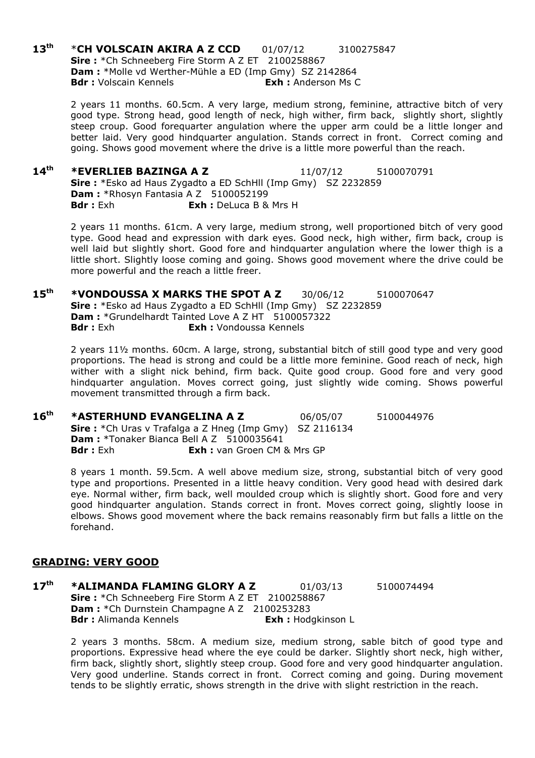13<sup>th</sup> \*CH VOLSCAIN AKIRA A Z CCD 01/07/12 3100275847 Sire: \*Ch Schneeberg Fire Storm A Z ET 2100258867 Dam : \*Molle vd Werther-Mühle a ED (Imp Gmy) SZ 2142864 Bdr : Volscain Kennels **Exh** : Anderson Ms C

> 2 years 11 months. 60.5cm. A very large, medium strong, feminine, attractive bitch of very good type. Strong head, good length of neck, high wither, firm back, slightly short, slightly steep croup. Good forequarter angulation where the upper arm could be a little longer and better laid. Very good hindquarter angulation. Stands correct in front. Correct coming and going. Shows good movement where the drive is a little more powerful than the reach.

 $14<sup>th</sup>$  \*EVERLIEB BAZINGA A Z  $11/07/12$  5100070791 Sire: \*Esko ad Haus Zygadto a ED SchHll (Imp Gmy) SZ 2232859 Dam: \*Rhosyn Fantasia A Z 5100052199 **Bdr**: Exh **Exh:** DeLuca B & Mrs H

2 years 11 months. 61cm. A very large, medium strong, well proportioned bitch of very good type. Good head and expression with dark eyes. Good neck, high wither, firm back, croup is well laid but slightly short. Good fore and hindquarter angulation where the lower thigh is a little short. Slightly loose coming and going. Shows good movement where the drive could be more powerful and the reach a little freer.

15<sup>th</sup> \*VONDOUSSA X MARKS THE SPOT A Z 30/06/12 5100070647 Sire : \*Esko ad Haus Zygadto a ED SchHll (Imp Gmy) SZ 2232859 **Dam :** \*Grundelhardt Tainted Love A Z HT 5100057322<br>Bdr : Exh **Exh :** Vondoussa Kennels Exh : Vondoussa Kennels

2 years 11½ months. 60cm. A large, strong, substantial bitch of still good type and very good proportions. The head is strong and could be a little more feminine. Good reach of neck, high wither with a slight nick behind, firm back. Quite good croup. Good fore and very good hindquarter angulation. Moves correct going, just slightly wide coming. Shows powerful movement transmitted through a firm back.

16<sup>th</sup> \*ASTERHUND EVANGELINA A Z 06/05/07 5100044976 Sire : \*Ch Uras v Trafalga a Z Hneg (Imp Gmy) SZ 2116134 **Dam:** \*Tonaker Bianca Bell A Z 5100035641 Bdr : Exh : **Exh :** van Groen CM & Mrs GP

8 years 1 month. 59.5cm. A well above medium size, strong, substantial bitch of very good type and proportions. Presented in a little heavy condition. Very good head with desired dark eye. Normal wither, firm back, well moulded croup which is slightly short. Good fore and very good hindquarter angulation. Stands correct in front. Moves correct going, slightly loose in elbows. Shows good movement where the back remains reasonably firm but falls a little on the forehand.

#### GRADING: VERY GOOD

17<sup>th</sup> \*ALIMANDA FLAMING GLORY A Z 01/03/13 5100074494 Sire: \*Ch Schneeberg Fire Storm A Z ET 2100258867 Dam : \* Ch Durnstein Champagne A Z 2100253283 Bdr : Alimanda Kennels **Exh : Hodgkinson L** 

2 years 3 months. 58cm. A medium size, medium strong, sable bitch of good type and proportions. Expressive head where the eye could be darker. Slightly short neck, high wither, firm back, slightly short, slightly steep croup. Good fore and very good hindquarter angulation. Very good underline. Stands correct in front. Correct coming and going. During movement tends to be slightly erratic, shows strength in the drive with slight restriction in the reach.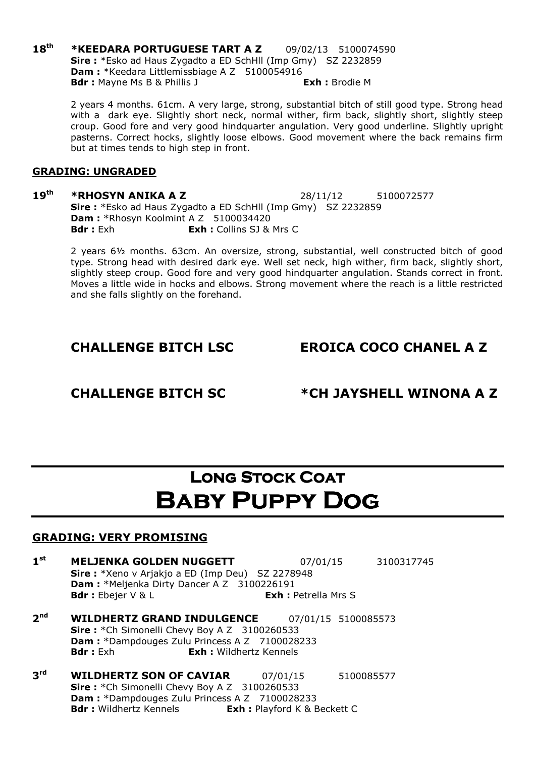18<sup>th</sup> \*KEEDARA PORTUGUESE TART A Z 09/02/13 5100074590 Sire : \*Esko ad Haus Zygadto a ED SchHll (Imp Gmy) SZ 2232859 Dam : \*Keedara Littlemissbiage A Z 5100054916 Bdr : Mayne Ms B & Phillis J Exh : Brodie M

> 2 years 4 months. 61cm. A very large, strong, substantial bitch of still good type. Strong head with a dark eye. Slightly short neck, normal wither, firm back, slightly short, slightly steep croup. Good fore and very good hindquarter angulation. Very good underline. Slightly upright pasterns. Correct hocks, slightly loose elbows. Good movement where the back remains firm but at times tends to high step in front.

#### GRADING: UNGRADED

#### 19<sup>th</sup> \*RHOSYN ANIKA A Z 28/11/12 5100072577 Sire : \*Esko ad Haus Zygadto a ED SchHll (Imp Gmy) SZ 2232859 Dam : \*Rhosyn Koolmint A Z 5100034420 **Bdr**: Exh : Collins SJ & Mrs C

2 years 6½ months. 63cm. An oversize, strong, substantial, well constructed bitch of good type. Strong head with desired dark eye. Well set neck, high wither, firm back, slightly short, slightly steep croup. Good fore and very good hindquarter angulation. Stands correct in front. Moves a little wide in hocks and elbows. Strong movement where the reach is a little restricted and she falls slightly on the forehand.

### CHALLENGE BITCH LSC EROICA COCO CHANEL A Z

### CHALLENGE BITCH SC \*CH JAYSHELL WINONA A Z

# LONG STOCK COAT Baby Puppy Dog

- $1<sup>st</sup>$ MELJENKA GOLDEN NUGGETT 07/01/15 3100317745 Sire: \*Xeno v Arjakjo a ED (Imp Deu) SZ 2278948 Dam : \*Meljenka Dirty Dancer A Z 3100226191 Bdr : Ebejer V & L **Exh : Petrella Mrs S**
- $2<sub>nd</sub>$ WILDHERTZ GRAND INDULGENCE 07/01/15 5100085573 Sire: \*Ch Simonelli Chevy Boy A Z 3100260533 Dam : \*Dampdouges Zulu Princess A Z 7100028233 **Bdr**: Exh **Exh:** Wildhertz Kennels
- $3<sup>rd</sup>$ **WILDHERTZ SON OF CAVIAR** 07/01/15 5100085577 Sire: \*Ch Simonelli Chevy Boy A Z 3100260533 **Dam :** \*Dampdouges Zulu Princess A Z 7100028233<br>**Bdr** : Wildhertz Kennels **Exh :** Playford K & B **Exh :** Playford K & Beckett C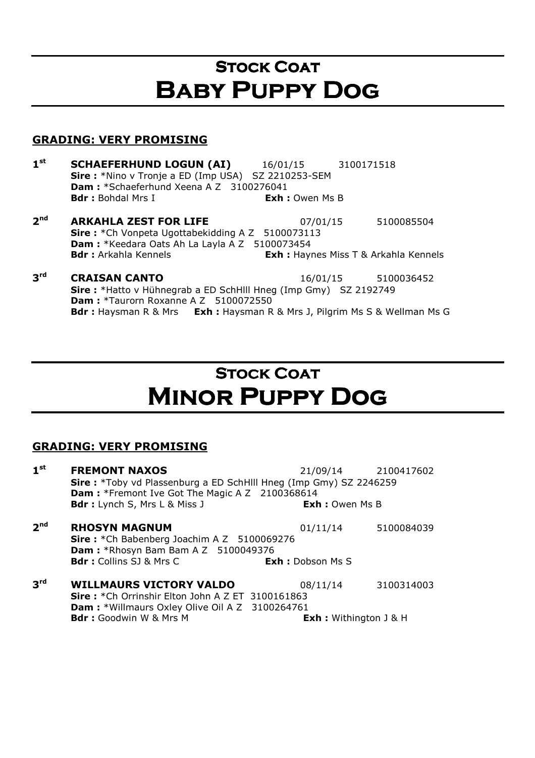# **STOCK COAT** Baby Puppy Dog

### GRADING: VERY PROMISING

- $1<sup>st</sup>$ **SCHAEFERHUND LOGUN (AI)** 16/01/15 3100171518 Sire : \*Nino v Tronje a ED (Imp USA) SZ 2210253-SEM Dam : \*Schaeferhund Xeena A Z 3100276041 **Bdr**: Bohdal Mrs I **Exh:** Owen Ms B
- $2<sup>nd</sup>$ **ARKAHLA ZEST FOR LIFE** 07/01/15 5100085504 Sire: \*Ch Vonpeta Ugottabekidding A Z 5100073113 Dam : \*Keedara Oats Ah La Layla A Z 5100073454 **Bdr**: Arkahla Kennels **Exh:** Haynes Miss T & Arkahla Kennels
- $3<sup>rd</sup>$ **CRAISAN CANTO** 16/01/15 5100036452 Sire : \*Hatto v Hühnegrab a ED SchHlll Hneg (Imp Gmy) SZ 2192749 Dam : \*Taurorn Roxanne A Z 5100072550 Bdr : Haysman R & Mrs Exh : Haysman R & Mrs J, Pilgrim Ms S & Wellman Ms G

# **STOCK COAT** Minor Puppy Dog

| 1 <sup>st</sup> | <b>FREMONT NAXOS</b>                                               |                                 | 21/09/14 2100417602   |  |  |
|-----------------|--------------------------------------------------------------------|---------------------------------|-----------------------|--|--|
|                 | Sire: *Toby vd Plassenburg a ED SchHIII Hneg (Imp Gmy) SZ 2246259  |                                 |                       |  |  |
|                 | <b>Dam:</b> *Fremont Ive Got The Magic A Z 2100368614              |                                 |                       |  |  |
|                 | <b>Bdr</b> : Lynch S, Mrs L & Miss J                               |                                 | <b>Exh: Owen Ms B</b> |  |  |
| 2 <sup>nd</sup> | <b>RHOSYN MAGNUM</b><br>Sire: *Ch Babenberg Joachim A Z 5100069276 | 01/11/14                        | 5100084039            |  |  |
|                 | <b>Dam:</b> *Rhosyn Bam Bam A Z 5100049376                         |                                 |                       |  |  |
|                 | <b>Bdr:</b> Collins SJ & Mrs C                                     | <b>Exh: Dobson Ms S</b>         |                       |  |  |
| 3 <sup>rd</sup> | <b>WILLMAURS VICTORY VALDO</b>                                     | 08/11/14                        | 3100314003            |  |  |
|                 | <b>Sire:</b> *Ch Orrinshir Elton John A Z ET 3100161863            |                                 |                       |  |  |
|                 | <b>Dam:</b> *Willmaurs Oxley Olive Oil A Z 3100264761              |                                 |                       |  |  |
|                 | <b>Bdr:</b> Goodwin W & Mrs M                                      | <b>Exh</b> : Withington $J$ & H |                       |  |  |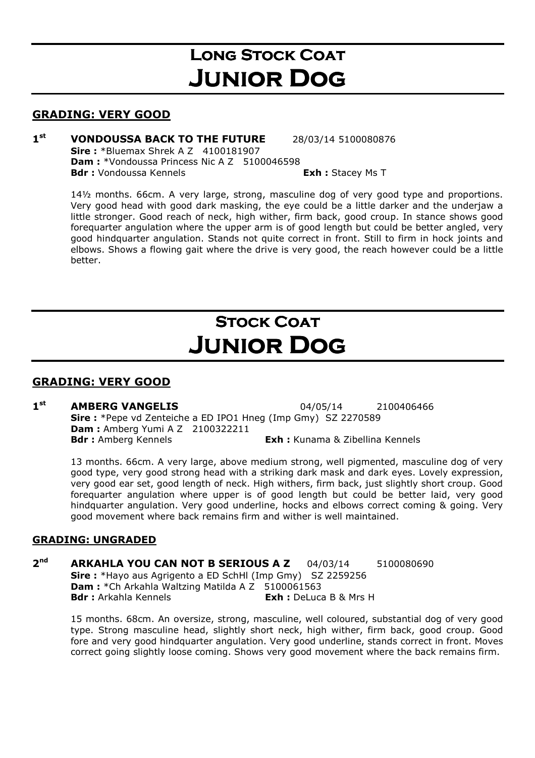# LONG STOCK COAT Junior Dog

### GRADING: VERY GOOD

#### $1<sup>st</sup>$ **VONDOUSSA BACK TO THE FUTURE** 28/03/14 5100080876 **Sire:** \*Bluemax Shrek A Z 4100181907 **Dam: \***Vondoussa Princess Nic A Z 5100046598 Bdr : Vondoussa Kennels **Exh** : Stacey Ms T

14½ months. 66cm. A very large, strong, masculine dog of very good type and proportions. Very good head with good dark masking, the eye could be a little darker and the underjaw a little stronger. Good reach of neck, high wither, firm back, good croup. In stance shows good forequarter angulation where the upper arm is of good length but could be better angled, very good hindquarter angulation. Stands not quite correct in front. Still to firm in hock joints and elbows. Shows a flowing gait where the drive is very good, the reach however could be a little better.

# **STOCK COAT** Junior Dog

### GRADING: VERY GOOD

#### $1<sup>st</sup>$ **AMBERG VANGELIS** 04/05/14 2100406466 Sire : \*Pepe vd Zenteiche a ED IPO1 Hneg (Imp Gmy) SZ 2270589 **Dam:** Amberg Yumi A Z 2100322211 **Bdr**: Amberg Kennels **Exh:** Kunama & Zibellina Kennels

13 months. 66cm. A very large, above medium strong, well pigmented, masculine dog of very good type, very good strong head with a striking dark mask and dark eyes. Lovely expression, very good ear set, good length of neck. High withers, firm back, just slightly short croup. Good forequarter angulation where upper is of good length but could be better laid, very good hindquarter angulation. Very good underline, hocks and elbows correct coming & going. Very good movement where back remains firm and wither is well maintained.

### GRADING: UNGRADED

#### $2<sup>nd</sup>$ ARKAHLA YOU CAN NOT B SERIOUS A Z 04/03/14 5100080690 Sire : \*Hayo aus Agrigento a ED SchHl (Imp Gmy) SZ 2259256 Dam : \* Ch Arkahla Waltzing Matilda A Z 5100061563 Bdr : Arkahla Kennels **Exh** : DeLuca B & Mrs H

15 months. 68cm. An oversize, strong, masculine, well coloured, substantial dog of very good type. Strong masculine head, slightly short neck, high wither, firm back, good croup. Good fore and very good hindquarter angulation. Very good underline, stands correct in front. Moves correct going slightly loose coming. Shows very good movement where the back remains firm.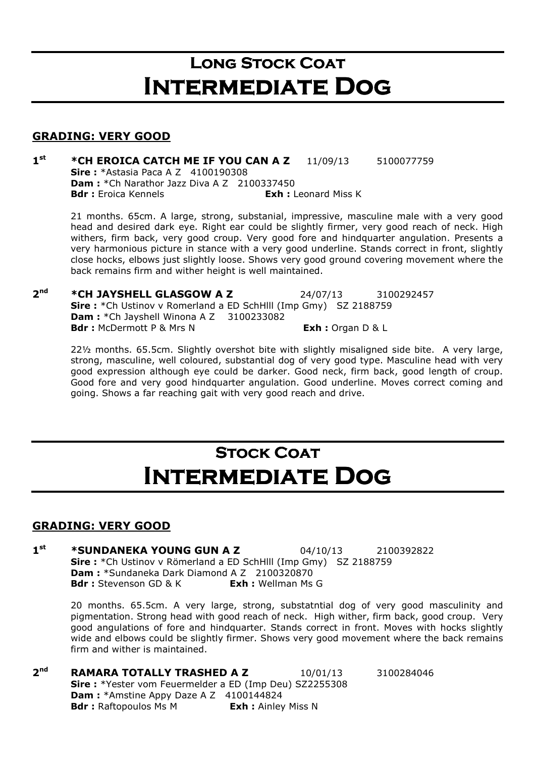### **LONG STOCK COAT** Intermediate Dog

#### GRADING: VERY GOOD

 $1<sup>st</sup>$ \*CH EROICA CATCH ME IF YOU CAN A Z 11/09/13 5100077759 **Sire:** \*Astasia Paca A Z 4100190308 **Dam :** \*Ch Narathor Jazz Diva A Z 2100337450<br>**Bdr :** Eroica Kennels **Bdr : Exh :** L **Exh :** Leonard Miss K

21 months. 65cm. A large, strong, substanial, impressive, masculine male with a very good head and desired dark eye. Right ear could be slightly firmer, very good reach of neck. High withers, firm back, very good croup. Very good fore and hindquarter angulation. Presents a very harmonious picture in stance with a very good underline. Stands correct in front, slightly close hocks, elbows just slightly loose. Shows very good ground covering movement where the back remains firm and wither height is well maintained.

 $2<sub>nd</sub>$ \*CH JAYSHELL GLASGOW A Z 24/07/13 3100292457 Sire : \*Ch Ustinov v Romerland a ED SchHlll (Imp Gmy) SZ 2188759 Dam : \* Ch Jayshell Winona A Z 3100233082 Bdr : McDermott P & Mrs N Exh : Organ D & L

22½ months. 65.5cm. Slightly overshot bite with slightly misaligned side bite. A very large, strong, masculine, well coloured, substantial dog of very good type. Masculine head with very good expression although eye could be darker. Good neck, firm back, good length of croup. Good fore and very good hindquarter angulation. Good underline. Moves correct coming and going. Shows a far reaching gait with very good reach and drive.

# **STOCK COAT** Intermediate Dog

### GRADING: VERY GOOD

 $1<sup>st</sup>$ **\*SUNDANEKA YOUNG GUN A Z** 04/10/13 2100392822 Sire : \*Ch Ustinov v Römerland a ED SchHlll (Imp Gmy) SZ 2188759 Dam : \*Sundaneka Dark Diamond A Z 2100320870 **Bdr**: Stevenson GD & K **Exh:** Wellman Ms G

20 months. 65.5cm. A very large, strong, substatntial dog of very good masculinity and pigmentation. Strong head with good reach of neck. High wither, firm back, good croup. Very good angulations of fore and hindquarter. Stands correct in front. Moves with hocks slightly wide and elbows could be slightly firmer. Shows very good movement where the back remains firm and wither is maintained.

 $2<sub>nd</sub>$ **RAMARA TOTALLY TRASHED A Z**  $10/01/13$   $3100284046$  Sire : \*Yester vom Feuermelder a ED (Imp Deu) SZ2255308 Dam : \*Amstine Appy Daze A Z 4100144824 **Bdr**: Raftopoulos Ms M **Exh:** Ainley Miss N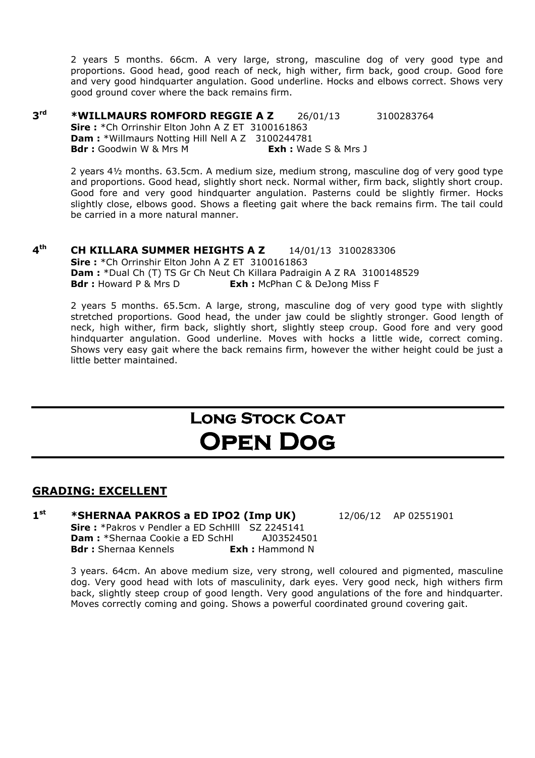2 years 5 months. 66cm. A very large, strong, masculine dog of very good type and proportions. Good head, good reach of neck, high wither, firm back, good croup. Good fore and very good hindquarter angulation. Good underline. Hocks and elbows correct. Shows very good ground cover where the back remains firm.

 $3<sup>rd</sup>$  $*$ WILLMAURS ROMFORD REGGIE A Z  $26/01/13$  3100283764 Sire: \*Ch Orrinshir Elton John A Z ET 3100161863 Dam : \*Willmaurs Notting Hill Nell A Z 3100244781 **Bdr :** Goodwin W & Mrs M **Exh :** Wade S & Mrs J

2 years 4½ months. 63.5cm. A medium size, medium strong, masculine dog of very good type and proportions. Good head, slightly short neck. Normal wither, firm back, slightly short croup. Good fore and very good hindquarter angulation. Pasterns could be slightly firmer. Hocks slightly close, elbows good. Shows a fleeting gait where the back remains firm. The tail could be carried in a more natural manner.

 $4<sup>th</sup>$ **CH KILLARA SUMMER HEIGHTS A Z** 14/01/13 3100283306 Sire: \*Ch Orrinshir Elton John A Z ET 3100161863 **Dam :** \*Dual Ch (T) TS Gr Ch Neut Ch Killara Padraigin A Z RA 3100148529<br>**Bdr** : Howard P & Mrs D **Exh :** McPhan C & Delong Miss F **Exh :** McPhan C & DeJong Miss F

2 years 5 months. 65.5cm. A large, strong, masculine dog of very good type with slightly stretched proportions. Good head, the under jaw could be slightly stronger. Good length of neck, high wither, firm back, slightly short, slightly steep croup. Good fore and very good hindquarter angulation. Good underline. Moves with hocks a little wide, correct coming. Shows very easy gait where the back remains firm, however the wither height could be just a little better maintained.

### **LONG STOCK COAT** Open Dog

### GRADING: EXCELLENT

 $1<sup>st</sup>$ **\*SHERNAA PAKROS a ED IPO2 (Imp UK)**  $12/06/12$  AP 02551901 Sire: \*Pakros v Pendler a ED SchHill SZ 2245141 Dam : \*Shernaa Cookie a ED SchHl AJ03524501 **Bdr**: Shernaa Kennels **Exh:** Hammond N

3 years. 64cm. An above medium size, very strong, well coloured and pigmented, masculine dog. Very good head with lots of masculinity, dark eyes. Very good neck, high withers firm back, slightly steep croup of good length. Very good angulations of the fore and hindquarter. Moves correctly coming and going. Shows a powerful coordinated ground covering gait.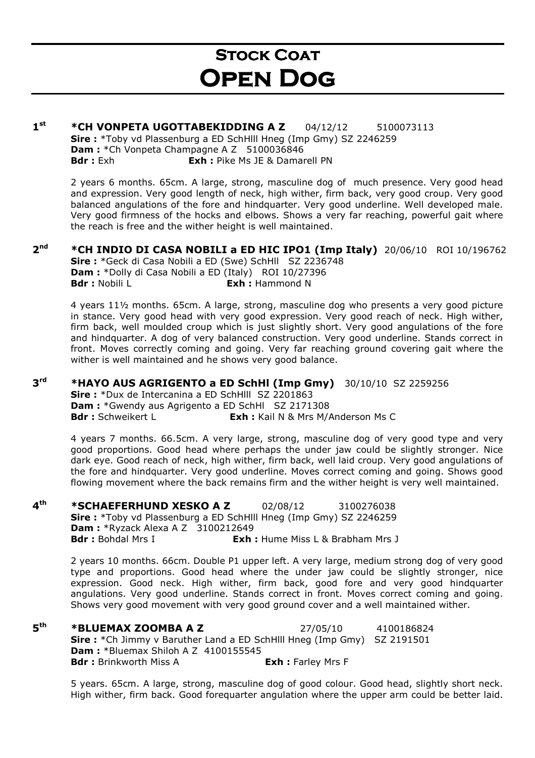# **STOCK COAT** Open Dog

#### $1<sup>st</sup>$ \*CH VONPETA UGOTTABEKIDDING A Z 04/12/12 5100073113 Sire : \*Toby vd Plassenburg a ED SchHlll Hneg (Imp Gmy) SZ 2246259 Dam : \* Ch Vonpeta Champagne A Z 5100036846 **Bdr** : Exh : Pike Ms JE & Damarell PN

2 years 6 months. 65cm. A large, strong, masculine dog of much presence. Very good head and expression. Very good length of neck, high wither, firm back, very good croup. Very good balanced angulations of the fore and hindquarter. Very good underline. Well developed male. Very good firmness of the hocks and elbows. Shows a very far reaching, powerful gait where the reach is free and the wither height is well maintained.

#### $2<sup>nd</sup>$ \*CH INDIO DI CASA NOBILI a ED HIC IPO1 (Imp Italy)  $20/06/10$  ROI 10/196762 Sire : \*Geck di Casa Nobili a ED (Swe) SchHll SZ 2236748

 Dam : \*Dolly di Casa Nobili a ED (Italy) ROI 10/27396 **Bdr** : Nobili L **Exh** : Hammond N

4 years 11½ months. 65cm. A large, strong, masculine dog who presents a very good picture in stance. Very good head with very good expression. Very good reach of neck. High wither, firm back, well moulded croup which is just slightly short. Very good angulations of the fore and hindquarter. A dog of very balanced construction. Very good underline. Stands correct in front. Moves correctly coming and going. Very far reaching ground covering gait where the wither is well maintained and he shows very good balance.

#### $3<sup>rd</sup>$ **\*HAYO AUS AGRIGENTO a ED SchHl (Imp Gmy)**  $30/10/10$  SZ 2259256

Sire : \*Dux de Intercanina a ED SchHlll SZ 2201863 Dam : \*Gwendy aus Agrigento a ED SchHl SZ 2171308 **Bdr**: Schweikert L **Exh:** Kail N & Mrs M/Anderson Ms C

4 years 7 months. 66.5cm. A very large, strong, masculine dog of very good type and very good proportions. Good head where perhaps the under jaw could be slightly stronger. Nice dark eye. Good reach of neck, high wither, firm back, well laid croup. Very good angulations of the fore and hindquarter. Very good underline. Moves correct coming and going. Shows good flowing movement where the back remains firm and the wither height is very well maintained.

#### $4<sup>th</sup>$ **\*SCHAEFERHUND XESKO A Z** 02/08/12 3100276038 Sire : \*Toby vd Plassenburg a ED SchHlll Hneg (Imp Gmy) SZ 2246259 **Dam: \*Ryzack Alexa A Z 3100212649 Bdr**: Bohdal Mrs I **Exh:** Hume Miss L & Brabham Mrs J

2 years 10 months. 66cm. Double P1 upper left. A very large, medium strong dog of very good type and proportions. Good head where the under jaw could be slightly stronger, nice expression. Good neck. High wither, firm back, good fore and very good hindquarter angulations. Very good underline. Stands correct in front. Moves correct coming and going. Shows very good movement with very good ground cover and a well maintained wither.

 $5<sup>th</sup>$ **\*BLUEMAX ZOOMBA A Z** 27/05/10 4100186824 Sire : \*Ch Jimmy v Baruther Land a ED SchHlll Hneg (Imp Gmy) SZ 2191501 **Dam: \*Bluemax Shiloh A Z 4100155545 Bdr**: Brinkworth Miss A **Exh:** Farley Mrs F

5 years. 65cm. A large, strong, masculine dog of good colour. Good head, slightly short neck. High wither, firm back. Good forequarter angulation where the upper arm could be better laid.